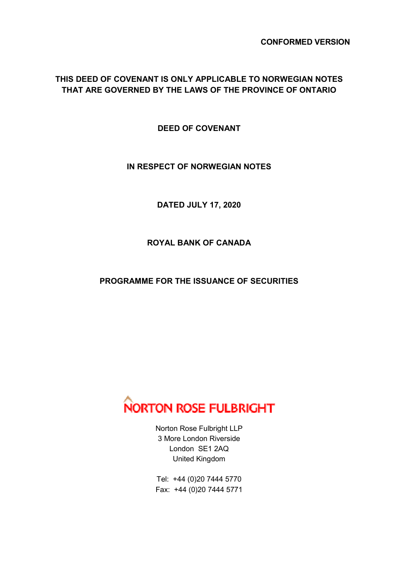**CONFORMED VERSION**

# **THIS DEED OF COVENANT IS ONLY APPLICABLE TO NORWEGIAN NOTES THAT ARE GOVERNED BY THE LAWS OF THE PROVINCE OF ONTARIO**

**DEED OF COVENANT** 

### **IN RESPECT OF NORWEGIAN NOTES**

**DATED JULY 17, 2020** 

**ROYAL BANK OF CANADA** 

## **PROGRAMME FOR THE ISSUANCE OF SECURITIES**



Norton Rose Fulbright LLP 3 More London Riverside London SE1 2AQ United Kingdom

Tel: +44 (0)20 7444 5770 Fax: +44 (0)20 7444 5771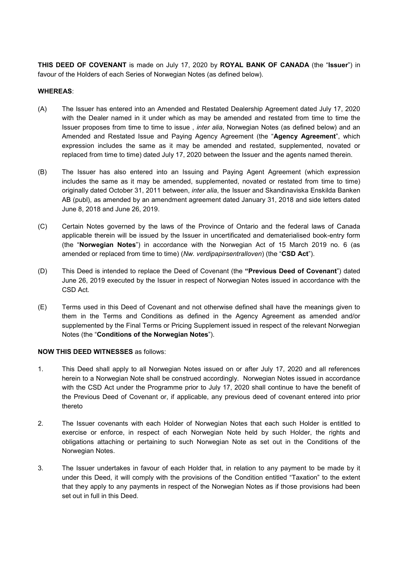**THIS DEED OF COVENANT** is made on July 17, 2020 by **ROYAL BANK OF CANADA** (the "**Issuer**") in favour of the Holders of each Series of Norwegian Notes (as defined below).

#### **WHEREAS**:

- (A) The Issuer has entered into an Amended and Restated Dealership Agreement dated July 17, 2020 with the Dealer named in it under which as may be amended and restated from time to time the Issuer proposes from time to time to issue , *inter alia*, Norwegian Notes (as defined below) and an Amended and Restated Issue and Paying Agency Agreement (the "**Agency Agreement**", which expression includes the same as it may be amended and restated, supplemented, novated or replaced from time to time) dated July 17, 2020 between the Issuer and the agents named therein.
- (B) The Issuer has also entered into an Issuing and Paying Agent Agreement (which expression includes the same as it may be amended, supplemented, novated or restated from time to time) originally dated October 31, 2011 between, *inter alia*, the Issuer and Skandinaviska Enskilda Banken AB (publ), as amended by an amendment agreement dated January 31, 2018 and side letters dated June 8, 2018 and June 26, 2019.
- (C) Certain Notes governed by the laws of the Province of Ontario and the federal laws of Canada applicable therein will be issued by the Issuer in uncertificated and dematerialised book-entry form (the "**Norwegian Notes**") in accordance with the Norwegian Act of 15 March 2019 no. 6 (as amended or replaced from time to time) (*Nw. verdipapirsentralloven*) (the "**CSD Act**").
- (D) This Deed is intended to replace the Deed of Covenant (the **"Previous Deed of Covenant**") dated June 26, 2019 executed by the Issuer in respect of Norwegian Notes issued in accordance with the CSD Act.
- (E) Terms used in this Deed of Covenant and not otherwise defined shall have the meanings given to them in the Terms and Conditions as defined in the Agency Agreement as amended and/or supplemented by the Final Terms or Pricing Supplement issued in respect of the relevant Norwegian Notes (the "**Conditions of the Norwegian Notes**").

#### **NOW THIS DEED WITNESSES** as follows:

- 1. This Deed shall apply to all Norwegian Notes issued on or after July 17, 2020 and all references herein to a Norwegian Note shall be construed accordingly. Norwegian Notes issued in accordance with the CSD Act under the Programme prior to July 17, 2020 shall continue to have the benefit of the Previous Deed of Covenant or, if applicable, any previous deed of covenant entered into prior thereto
- 2. The Issuer covenants with each Holder of Norwegian Notes that each such Holder is entitled to exercise or enforce, in respect of each Norwegian Note held by such Holder, the rights and obligations attaching or pertaining to such Norwegian Note as set out in the Conditions of the Norwegian Notes.
- 3. The Issuer undertakes in favour of each Holder that, in relation to any payment to be made by it under this Deed, it will comply with the provisions of the Condition entitled "Taxation" to the extent that they apply to any payments in respect of the Norwegian Notes as if those provisions had been set out in full in this Deed.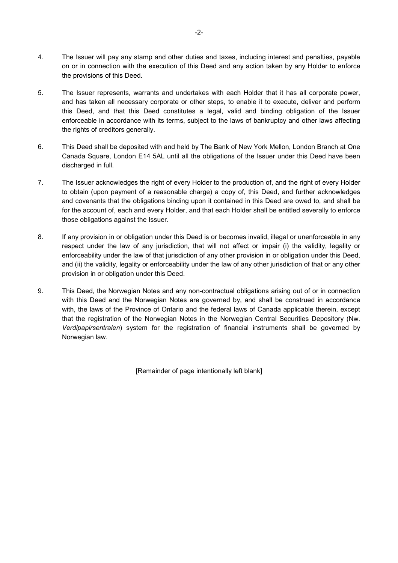- 4. The Issuer will pay any stamp and other duties and taxes, including interest and penalties, payable on or in connection with the execution of this Deed and any action taken by any Holder to enforce the provisions of this Deed.
- 5. The Issuer represents, warrants and undertakes with each Holder that it has all corporate power, and has taken all necessary corporate or other steps, to enable it to execute, deliver and perform this Deed, and that this Deed constitutes a legal, valid and binding obligation of the Issuer enforceable in accordance with its terms, subject to the laws of bankruptcy and other laws affecting the rights of creditors generally.
- 6. This Deed shall be deposited with and held by The Bank of New York Mellon, London Branch at One Canada Square, London E14 5AL until all the obligations of the Issuer under this Deed have been discharged in full.
- 7. The Issuer acknowledges the right of every Holder to the production of, and the right of every Holder to obtain (upon payment of a reasonable charge) a copy of, this Deed, and further acknowledges and covenants that the obligations binding upon it contained in this Deed are owed to, and shall be for the account of, each and every Holder, and that each Holder shall be entitled severally to enforce those obligations against the Issuer.
- 8. If any provision in or obligation under this Deed is or becomes invalid, illegal or unenforceable in any respect under the law of any jurisdiction, that will not affect or impair (i) the validity, legality or enforceability under the law of that jurisdiction of any other provision in or obligation under this Deed, and (ii) the validity, legality or enforceability under the law of any other jurisdiction of that or any other provision in or obligation under this Deed.
- 9. This Deed, the Norwegian Notes and any non-contractual obligations arising out of or in connection with this Deed and the Norwegian Notes are governed by, and shall be construed in accordance with, the laws of the Province of Ontario and the federal laws of Canada applicable therein, except that the registration of the Norwegian Notes in the Norwegian Central Securities Depository (Nw. *Verdipapirsentralen*) system for the registration of financial instruments shall be governed by Norwegian law.

[Remainder of page intentionally left blank]